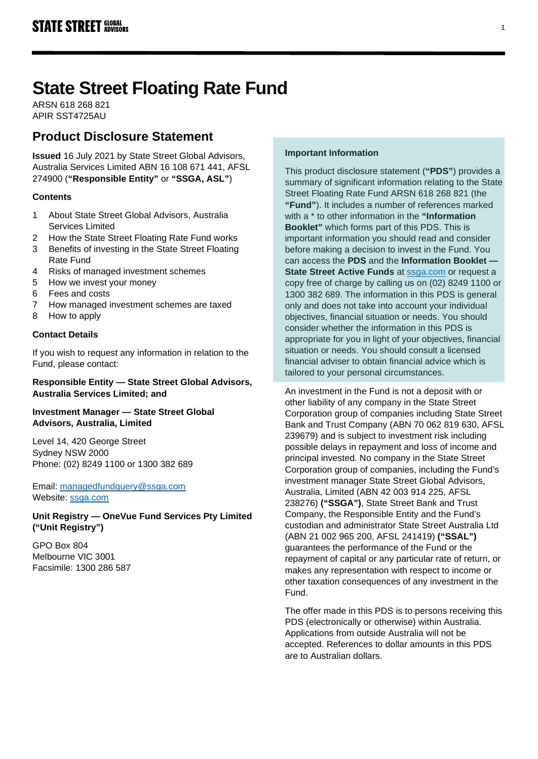# **State Street Floating Rate Fund**

ARSN 618 268 821 APIR SST4725AU

# **Product Disclosure Statement**

**Issued** 16 July 2021 by State Street Global Advisors, Australia Services Limited ABN 16 108 671 441, AFSL 274900 (**"Responsible Entity"** or **"SSGA, ASL"**)

# **Contents**

- 1 About State Street Global Advisors, Australia Services Limited
- 2 How the State Street Floating Rate Fund works
- 3 Benefits of investing in the State Street Floating Rate Fund
- 4 Risks of managed investment schemes
- 5 How we invest your money
- 6 Fees and costs
- 7 How managed investment schemes are taxed
- 8 How to apply

# **Contact Details**

If you wish to request any information in relation to the Fund, please contact:

# **Responsible Entity — State Street Global Advisors, Australia Services Limited; and**

# **Investment Manager — State Street Global Advisors, Australia, Limited**

Level 14, 420 George Street Sydney NSW 2000 Phone: (02) 8249 1100 or 1300 382 689

Email: [managedfundquery@ssga.com](file://sydganas1/shared/RE/PDS/2018/Q4%20updates/managedfundquery@ssga.com) Website: [ssga.com](http://www.ssga.com/)

**Unit Registry — OneVue Fund Services Pty Limited ("Unit Registry")**

GPO Box 804 Melbourne VIC 3001 Facsimile: 1300 286 587

# **Important Information**

This product disclosure statement (**"PDS"**) provides a summary of significant information relating to the State Street Floating Rate Fund ARSN 618 268 821 (the **"Fund"**). It includes a number of references marked with a \* to other information in the **"Information Booklet"** which forms part of this PDS. This is important information you should read and consider before making a decision to invest in the Fund. You can access the **PDS** and the **Information Booklet — State Street Active Funds** at [ssga.com](https://www.ssga.com/) or request a copy free of charge by calling us on (02) 8249 1100 or 1300 382 689. The information in this PDS is general only and does not take into account your individual objectives, financial situation or needs. You should consider whether the information in this PDS is appropriate for you in light of your objectives, financial situation or needs. You should consult a licensed financial adviser to obtain financial advice which is tailored to your personal circumstances.

An investment in the Fund is not a deposit with or other liability of any company in the State Street Corporation group of companies including State Street Bank and Trust Company (ABN 70 062 819 630, AFSL 239679) and is subject to investment risk including possible delays in repayment and loss of income and principal invested. No company in the State Street Corporation group of companies, including the Fund's investment manager State Street Global Advisors, Australia, Limited (ABN 42 003 914 225, AFSL 238276) **("SSGA")**, State Street Bank and Trust Company, the Responsible Entity and the Fund's custodian and administrator State Street Australia Ltd (ABN 21 002 965 200, AFSL 241419) **("SSAL")** guarantees the performance of the Fund or the repayment of capital or any particular rate of return, or makes any representation with respect to income or other taxation consequences of any investment in the Fund.

The offer made in this PDS is to persons receiving this PDS (electronically or otherwise) within Australia. Applications from outside Australia will not be accepted. References to dollar amounts in this PDS are to Australian dollars.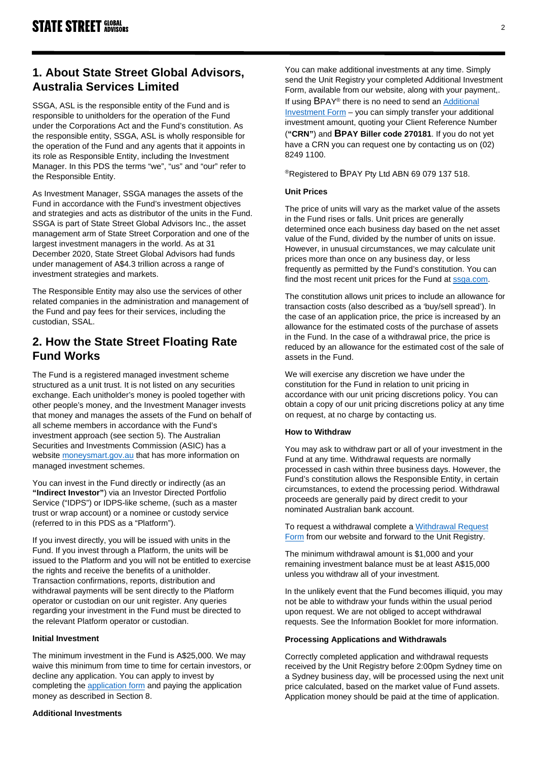# **1. About State Street Global Advisors, Australia Services Limited**

SSGA, ASL is the responsible entity of the Fund and is responsible to unitholders for the operation of the Fund under the Corporations Act and the Fund's constitution. As the responsible entity, SSGA, ASL is wholly responsible for the operation of the Fund and any agents that it appoints in its role as Responsible Entity, including the Investment Manager. In this PDS the terms "we", "us" and "our" refer to the Responsible Entity.

As Investment Manager, SSGA manages the assets of the Fund in accordance with the Fund's investment objectives and strategies and acts as distributor of the units in the Fund. SSGA is part of State Street Global Advisors Inc., the asset management arm of State Street Corporation and one of the largest investment managers in the world. As at 31 December 2020, State Street Global Advisors had funds under management of A\$4.3 trillion across a range of investment strategies and markets.

The Responsible Entity may also use the services of other related companies in the administration and management of the Fund and pay fees for their services, including the custodian, SSAL.

# **2. How the State Street Floating Rate Fund Works**

The Fund is a registered managed investment scheme structured as a unit trust. It is not listed on any securities exchange. Each unitholder's money is pooled together with other people's money, and the Investment Manager invests that money and manages the assets of the Fund on behalf of all scheme members in accordance with the Fund's investment approach (see section 5). The Australian Securities and Investments Commission (ASIC) has a website [moneysmart.gov.au](http://www.moneysmart.gov.au/) that has more information on managed investment schemes.

You can invest in the Fund directly or indirectly (as an **"Indirect Investor"**) via an Investor Directed Portfolio Service ("IDPS") or IDPS-like scheme, (such as a master trust or wrap account) or a nominee or custody service (referred to in this PDS as a "Platform").

If you invest directly, you will be issued with units in the Fund. If you invest through a Platform, the units will be issued to the Platform and you will not be entitled to exercise the rights and receive the benefits of a unitholder. Transaction confirmations, reports, distribution and withdrawal payments will be sent directly to the Platform operator or custodian on our unit register. Any queries regarding your investment in the Fund must be directed to the relevant Platform operator or custodian.

### **Initial Investment**

The minimum investment in the Fund is A\$25,000. We may waive this minimum from time to time for certain investors, or decline any application. You can apply to invest by completing the [application form](https://www.ssga.com/au/en_gb/individual/mf/library-content/products/fund-docs/mf/apac/au/initial%20application/Initial-Application-Form-Active.pdf) and paying the application money as described in Section 8.

### **Additional Investments**

You can make additional investments at any time. Simply send the Unit Registry your completed Additional Investment Form, available from our website, along with your payment,.

If using BPAY® there is no need to send an [Additional](https://www.ssga.com/au/en_gb/individual/mf/library-content/products/fund-docs/mf/apac/au/additional%20investment/Additional-Application-Form-Active.pdf)  [Investment Form](https://www.ssga.com/au/en_gb/individual/mf/library-content/products/fund-docs/mf/apac/au/additional%20investment/Additional-Application-Form-Active.pdf) – you can simply transfer your additional investment amount, quoting your Client Reference Number (**"CRN"**) and **BPAY Biller code 270181**. If you do not yet have a CRN you can request one by contacting us on (02) 8249 1100.

### ®Registered to BPAY Pty Ltd ABN 69 079 137 518.

#### **Unit Prices**

The price of units will vary as the market value of the assets in the Fund rises or falls. Unit prices are generally determined once each business day based on the net asset value of the Fund, divided by the number of units on issue. However, in unusual circumstances, we may calculate unit prices more than once on any business day, or less frequently as permitted by the Fund's constitution. You can find the most recent unit prices for the Fund at [ssga.com.](https://www.ssga.com/)

The constitution allows unit prices to include an allowance for transaction costs (also described as a 'buy/sell spread'). In the case of an application price, the price is increased by an allowance for the estimated costs of the purchase of assets in the Fund. In the case of a withdrawal price, the price is reduced by an allowance for the estimated cost of the sale of assets in the Fund.

We will exercise any discretion we have under the constitution for the Fund in relation to unit pricing in accordance with our unit pricing discretions policy. You can obtain a copy of our unit pricing discretions policy at any time on request, at no charge by contacting us.

### **How to Withdraw**

You may ask to withdraw part or all of your investment in the Fund at any time. Withdrawal requests are normally processed in cash within three business days. However, the Fund's constitution allows the Responsible Entity, in certain circumstances, to extend the processing period. Withdrawal proceeds are generally paid by direct credit to your nominated Australian bank account.

To request a withdrawal complete a Withdrawal Request [Form](https://www.ssga.com/au/en_gb/individual/mf/library-content/products/fund-docs/mf/apac/au/withdrawal%20request/Withdrawal-Request-Form-Active.pdf) from our website and forward to the Unit Registry.

The minimum withdrawal amount is \$1,000 and your remaining investment balance must be at least A\$15,000 unless you withdraw all of your investment.

In the unlikely event that the Fund becomes illiquid, you may not be able to withdraw your funds within the usual period upon request. We are not obliged to accept withdrawal requests. See the Information Booklet for more information.

### **Processing Applications and Withdrawals**

Correctly completed application and withdrawal requests received by the Unit Registry before 2:00pm Sydney time on a Sydney business day, will be processed using the next unit price calculated, based on the market value of Fund assets. Application money should be paid at the time of application.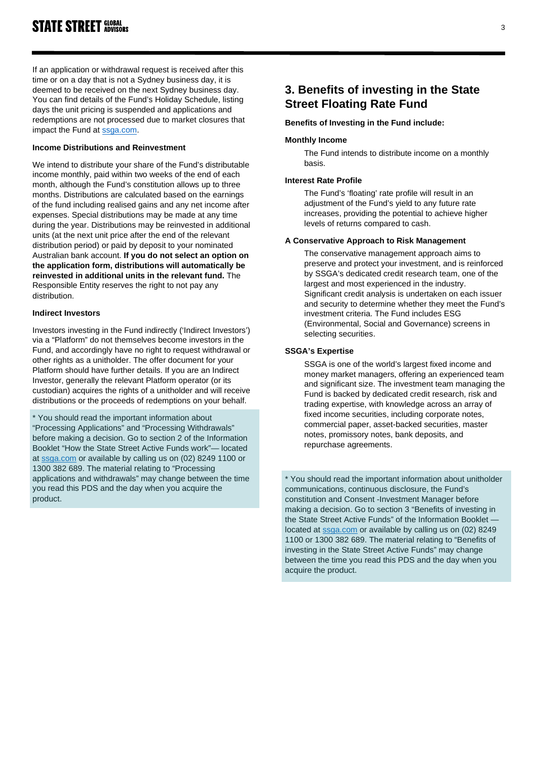If an application or withdrawal request is received after this time or on a day that is not a Sydney business day, it is deemed to be received on the next Sydney business day. You can find details of the Fund's Holiday Schedule, listing days the unit pricing is suspended and applications and redemptions are not processed due to market closures that impact the Fund at [ssga.com.](https://www.ssga.com/)

# **Income Distributions and Reinvestment**

We intend to distribute your share of the Fund's distributable income monthly, paid within two weeks of the end of each month, although the Fund's constitution allows up to three months. Distributions are calculated based on the earnings of the fund including realised gains and any net income after expenses. Special distributions may be made at any time during the year. Distributions may be reinvested in additional units (at the next unit price after the end of the relevant distribution period) or paid by deposit to your nominated Australian bank account. **If you do not select an option on the application form, distributions will automatically be reinvested in additional units in the relevant fund.** The Responsible Entity reserves the right to not pay any distribution.

# **Indirect Investors**

Investors investing in the Fund indirectly ('Indirect Investors') via a "Platform" do not themselves become investors in the Fund, and accordingly have no right to request withdrawal or other rights as a unitholder. The offer document for your Platform should have further details. If you are an Indirect Investor, generally the relevant Platform operator (or its custodian) acquires the rights of a unitholder and will receive distributions or the proceeds of redemptions on your behalf.

\* You should read the important information about "Processing Applications" and "Processing Withdrawals" before making a decision. Go to section 2 of the Information Booklet "How the State Street Active Funds work"— located at [ssga.com](https://www.ssga.com/) or available by calling us on (02) 8249 1100 or 1300 382 689. The material relating to "Processing applications and withdrawals" may change between the time you read this PDS and the day when you acquire the product.

# **3. Benefits of investing in the State Street Floating Rate Fund**

# **Benefits of Investing in the Fund include:**

### **Monthly Income**

The Fund intends to distribute income on a monthly basis.

# **Interest Rate Profile**

The Fund's 'floating' rate profile will result in an adjustment of the Fund's yield to any future rate increases, providing the potential to achieve higher levels of returns compared to cash.

### **A Conservative Approach to Risk Management**

The conservative management approach aims to preserve and protect your investment, and is reinforced by SSGA's dedicated credit research team, one of the largest and most experienced in the industry. Significant credit analysis is undertaken on each issuer and security to determine whether they meet the Fund's investment criteria. The Fund includes ESG (Environmental, Social and Governance) screens in selecting securities.

# **SSGA's Expertise**

SSGA is one of the world's largest fixed income and money market managers, offering an experienced team and significant size. The investment team managing the Fund is backed by dedicated credit research, risk and trading expertise, with knowledge across an array of fixed income securities, including corporate notes, commercial paper, asset-backed securities, master notes, promissory notes, bank deposits, and repurchase agreements.

\* You should read the important information about unitholder communications, continuous disclosure, the Fund's constitution and Consent -Investment Manager before making a decision. Go to section 3 "Benefits of investing in the State Street Active Funds" of the Information Booklet located at [ssga.com](https://www.ssga.com/) or available by calling us on (02) 8249 1100 or 1300 382 689. The material relating to "Benefits of investing in the State Street Active Funds" may change between the time you read this PDS and the day when you acquire the product.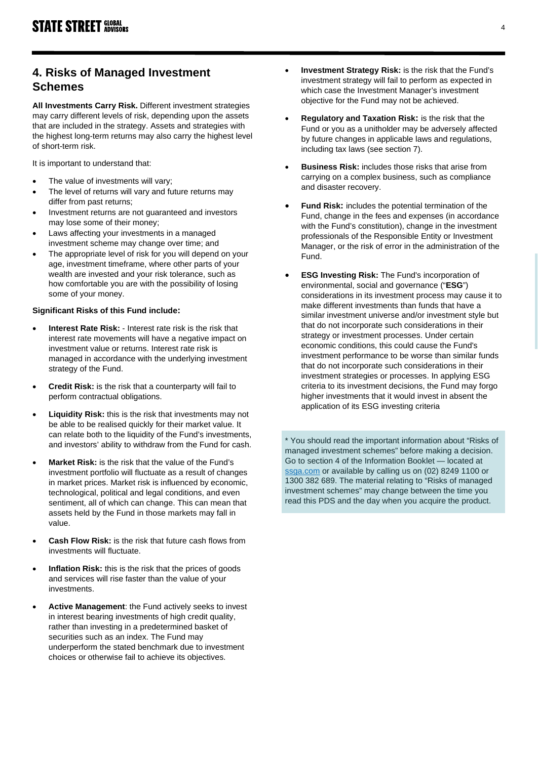# **4. Risks of Managed Investment Schemes**

**All Investments Carry Risk.** Different investment strategies may carry different levels of risk, depending upon the assets that are included in the strategy. Assets and strategies with the highest long-term returns may also carry the highest level of short-term risk.

It is important to understand that:

- The value of investments will vary;
- The level of returns will vary and future returns may differ from past returns;
- Investment returns are not guaranteed and investors may lose some of their money;
- Laws affecting your investments in a managed investment scheme may change over time; and
- The appropriate level of risk for you will depend on your age, investment timeframe, where other parts of your wealth are invested and your risk tolerance, such as how comfortable you are with the possibility of losing some of your money.

# **Significant Risks of this Fund include:**

- **Interest Rate Risk:** Interest rate risk is the risk that interest rate movements will have a negative impact on investment value or returns. Interest rate risk is managed in accordance with the underlying investment strategy of the Fund.
- **Credit Risk:** is the risk that a counterparty will fail to perform contractual obligations.
- **Liquidity Risk:** this is the risk that investments may not be able to be realised quickly for their market value. It can relate both to the liquidity of the Fund's investments, and investors' ability to withdraw from the Fund for cash.
- **Market Risk:** is the risk that the value of the Fund's investment portfolio will fluctuate as a result of changes in market prices. Market risk is influenced by economic, technological, political and legal conditions, and even sentiment, all of which can change. This can mean that assets held by the Fund in those markets may fall in value.
- **Cash Flow Risk:** is the risk that future cash flows from investments will fluctuate.
- **Inflation Risk:** this is the risk that the prices of goods and services will rise faster than the value of your investments.
- **Active Management**: the Fund actively seeks to invest in interest bearing investments of high credit quality, rather than investing in a predetermined basket of securities such as an index. The Fund may underperform the stated benchmark due to investment choices or otherwise fail to achieve its objectives.
- **Investment Strategy Risk:** is the risk that the Fund's investment strategy will fail to perform as expected in which case the Investment Manager's investment objective for the Fund may not be achieved.
- **Regulatory and Taxation Risk:** is the risk that the Fund or you as a unitholder may be adversely affected by future changes in applicable laws and regulations, including tax laws (see section 7).
- **Business Risk:** includes those risks that arise from carrying on a complex business, such as compliance and disaster recovery.
- **Fund Risk:** includes the potential termination of the Fund, change in the fees and expenses (in accordance with the Fund's constitution), change in the investment professionals of the Responsible Entity or Investment Manager, or the risk of error in the administration of the Fund.
- **ESG Investing Risk:** The Fund's incorporation of environmental, social and governance ("**ESG**") considerations in its investment process may cause it to make different investments than funds that have a similar investment universe and/or investment style but that do not incorporate such considerations in their strategy or investment processes. Under certain economic conditions, this could cause the Fund's investment performance to be worse than similar funds that do not incorporate such considerations in their investment strategies or processes. In applying ESG criteria to its investment decisions, the Fund may forgo higher investments that it would invest in absent the application of its ESG investing criteria

\* You should read the important information about "Risks of managed investment schemes" before making a decision. Go to section 4 of the Information Booklet — located at [ssga.com](https://www.ssga.com/) or available by calling us on (02) 8249 1100 or 1300 382 689. The material relating to "Risks of managed investment schemes" may change between the time you read this PDS and the day when you acquire the product.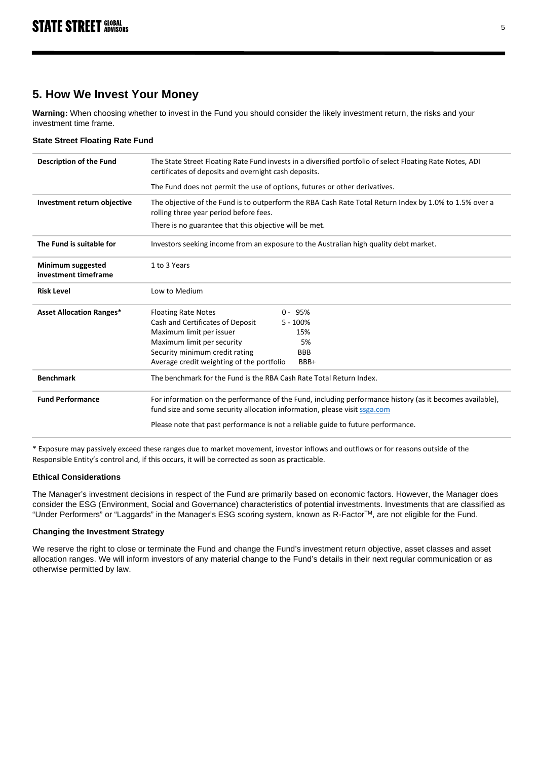# **5. How We Invest Your Money**

**Warning:** When choosing whether to invest in the Fund you should consider the likely investment return, the risks and your investment time frame.

### **State Street Floating Rate Fund**

| <b>Description of the Fund</b>            | The State Street Floating Rate Fund invests in a diversified portfolio of select Floating Rate Notes, ADI<br>certificates of deposits and overnight cash deposits.                    |  |  |
|-------------------------------------------|---------------------------------------------------------------------------------------------------------------------------------------------------------------------------------------|--|--|
|                                           | The Fund does not permit the use of options, futures or other derivatives.                                                                                                            |  |  |
| Investment return objective               | The objective of the Fund is to outperform the RBA Cash Rate Total Return Index by 1.0% to 1.5% over a<br>rolling three year period before fees.                                      |  |  |
|                                           | There is no guarantee that this objective will be met.                                                                                                                                |  |  |
| The Fund is suitable for                  | Investors seeking income from an exposure to the Australian high quality debt market.                                                                                                 |  |  |
| Minimum suggested<br>investment timeframe | 1 to 3 Years                                                                                                                                                                          |  |  |
| <b>Risk Level</b>                         | Low to Medium                                                                                                                                                                         |  |  |
| <b>Asset Allocation Ranges*</b>           | <b>Floating Rate Notes</b><br>$0 - 95%$                                                                                                                                               |  |  |
|                                           | Cash and Certificates of Deposit<br>$5 - 100%$                                                                                                                                        |  |  |
|                                           | Maximum limit per issuer<br>15%                                                                                                                                                       |  |  |
|                                           | Maximum limit per security<br>5%                                                                                                                                                      |  |  |
|                                           | Security minimum credit rating<br><b>BBB</b>                                                                                                                                          |  |  |
|                                           | Average credit weighting of the portfolio<br>BBB+                                                                                                                                     |  |  |
| <b>Benchmark</b>                          | The benchmark for the Fund is the RBA Cash Rate Total Return Index.                                                                                                                   |  |  |
| <b>Fund Performance</b>                   | For information on the performance of the Fund, including performance history (as it becomes available),<br>fund size and some security allocation information, please visit ssga.com |  |  |
|                                           | Please note that past performance is not a reliable guide to future performance.                                                                                                      |  |  |

\* Exposure may passively exceed these ranges due to market movement, investor inflows and outflows or for reasons outside of the Responsible Entity's control and, if this occurs, it will be corrected as soon as practicable.

### **Ethical Considerations**

The Manager's investment decisions in respect of the Fund are primarily based on economic factors. However, the Manager does consider the ESG (Environment, Social and Governance) characteristics of potential investments. Investments that are classified as "Under Performers" or "Laggards" in the Manager's ESG scoring system, known as R-Factor™, are not eligible for the Fund.

### **Changing the Investment Strategy**

We reserve the right to close or terminate the Fund and change the Fund's investment return objective, asset classes and asset allocation ranges. We will inform investors of any material change to the Fund's details in their next regular communication or as otherwise permitted by law.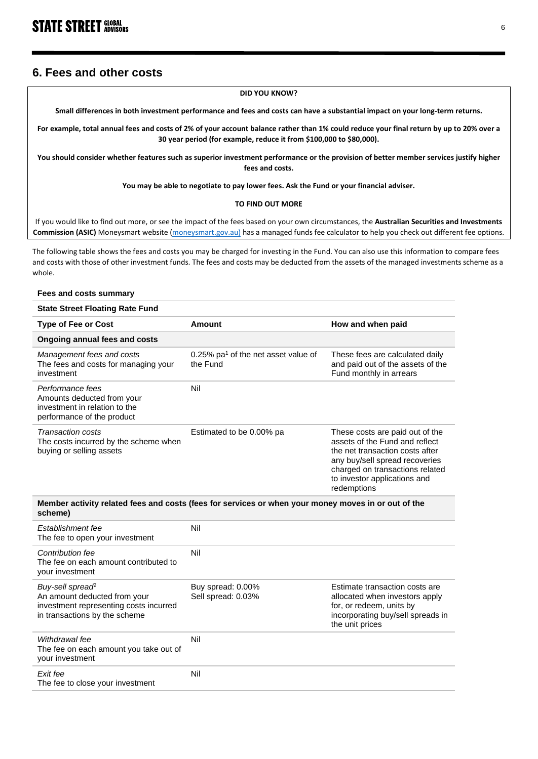# **6. Fees and other costs**

#### **DID YOU KNOW?**

**Small differences in both investment performance and fees and costs can have a substantial impact on your long-term returns.**

**For example, total annual fees and costs of 2% of your account balance rather than 1% could reduce your final return by up to 20% over a 30 year period (for example, reduce it from \$100,000 to \$80,000).**

**You should consider whether features such as superior investment performance or the provision of better member services justify higher fees and costs.** 

**You may be able to negotiate to pay lower fees. Ask the Fund or your financial adviser.**

#### **TO FIND OUT MORE**

If you would like to find out more, or see the impact of the fees based on your own circumstances, the **Australian Securities and Investments Commission (ASIC)** Moneysmart website [\(moneysmart.gov.au\)](http://www.moneysmart.gov.au/) has a managed funds fee calculator to help you check out different fee options.

The following table shows the fees and costs you may be charged for investing in the Fund. You can also use this information to compare fees and costs with those of other investment funds. The fees and costs may be deducted from the assets of the managed investments scheme as a whole.

#### **Fees and costs summary State Street Floating Rate Fund Type of Fee or Cost Amount Amount How and when paid Ongoing annual fees and costs** *Management fees and costs* The fees and costs for managing your investment 0.25%  $pa<sup>1</sup>$  of the net asset value of the Fund These fees are calculated daily and paid out of the assets of the Fund monthly in arrears *Performance fees* Amounts deducted from your investment in relation to the performance of the product Nil *Transaction costs* The costs incurred by the scheme when buying or selling assets Estimated to be 0.00% pa These costs are paid out of the assets of the Fund and reflect the net transaction costs after any buy/sell spread recoveries charged on transactions related to investor applications and redemptions **Member activity related fees and costs (fees for services or when your money moves in or out of the scheme)** *Establishment fee* Nil

| The fee to open your investment                                                                                                         |                                         |                                                                                                                                                      |
|-----------------------------------------------------------------------------------------------------------------------------------------|-----------------------------------------|------------------------------------------------------------------------------------------------------------------------------------------------------|
| Contribution fee<br>The fee on each amount contributed to<br>your investment                                                            | Nil                                     |                                                                                                                                                      |
| Buy-sell spread <sup>2</sup><br>An amount deducted from your<br>investment representing costs incurred<br>in transactions by the scheme | Buy spread: 0.00%<br>Sell spread: 0.03% | Estimate transaction costs are<br>allocated when investors apply<br>for, or redeem, units by<br>incorporating buy/sell spreads in<br>the unit prices |
| Withdrawal fee<br>The fee on each amount you take out of<br>your investment                                                             | Nil                                     |                                                                                                                                                      |
| Exit fee<br>The fee to close your investment                                                                                            | Nil                                     |                                                                                                                                                      |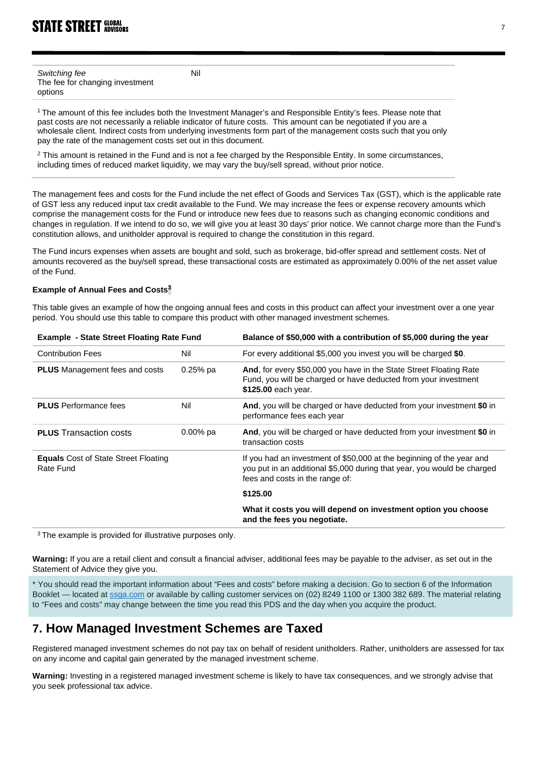| Switching fee                   |  |
|---------------------------------|--|
| The fee for changing investment |  |
| options                         |  |

<sup>1</sup> The amount of this fee includes both the Investment Manager's and Responsible Entity's fees. Please note that past costs are not necessarily a reliable indicator of future costs. This amount can be negotiated if you are a wholesale client. Indirect costs from underlying investments form part of the management costs such that you only pay the rate of the management costs set out in this document.

Nil

 $2$  This amount is retained in the Fund and is not a fee charged by the Responsible Entity. In some circumstances, including times of reduced market liquidity, we may vary the buy/sell spread, without prior notice.

The management fees and costs for the Fund include the net effect of Goods and Services Tax (GST), which is the applicable rate of GST less any reduced input tax credit available to the Fund. We may increase the fees or expense recovery amounts which comprise the management costs for the Fund or introduce new fees due to reasons such as changing economic conditions and changes in regulation. If we intend to do so, we will give you at least 30 days' prior notice. We cannot charge more than the Fund's constitution allows, and unitholder approval is required to change the constitution in this regard.

The Fund incurs expenses when assets are bought and sold, such as brokerage, bid-offer spread and settlement costs. Net of amounts recovered as the buy/sell spread, these transactional costs are estimated as approximately 0.00% of the net asset value of the Fund.

# **Example of Annual Fees and Costs<sup>3</sup>**

This table gives an example of how the ongoing annual fees and costs in this product can affect your investment over a one year period. You should use this table to compare this product with other managed investment schemes.

| Example - State Street Floating Rate Fund                |             | Balance of \$50,000 with a contribution of \$5,000 during the year                                                                                                                  |
|----------------------------------------------------------|-------------|-------------------------------------------------------------------------------------------------------------------------------------------------------------------------------------|
| <b>Contribution Fees</b>                                 | Nil         | For every additional \$5,000 you invest you will be charged \$0.                                                                                                                    |
| <b>PLUS</b> Management fees and costs                    | $0.25%$ pa  | And, for every \$50,000 you have in the State Street Floating Rate<br>Fund, you will be charged or have deducted from your investment<br>\$125.00 each year.                        |
| <b>PLUS</b> Performance fees                             | Nil         | And, you will be charged or have deducted from your investment \$0 in<br>performance fees each year                                                                                 |
| <b>PLUS</b> Transaction costs                            | $0.00\%$ pa | And, you will be charged or have deducted from your investment \$0 in<br>transaction costs                                                                                          |
| <b>Equals</b> Cost of State Street Floating<br>Rate Fund |             | If you had an investment of \$50,000 at the beginning of the year and<br>you put in an additional \$5,000 during that year, you would be charged<br>fees and costs in the range of: |
|                                                          |             | \$125.00                                                                                                                                                                            |
|                                                          |             | What it costs you will depend on investment option you choose<br>and the fees you negotiate.                                                                                        |
|                                                          |             |                                                                                                                                                                                     |

<sup>3</sup> The example is provided for illustrative purposes only.

**Warning:** If you are a retail client and consult a financial adviser, additional fees may be payable to the adviser, as set out in the Statement of Advice they give you.

\* You should read the important information about "Fees and costs" before making a decision. Go to section 6 of the Information Booklet — located a[t ssga.com](https://www.ssga.com/) or available by calling customer services on (02) 8249 1100 or 1300 382 689. The material relating to "Fees and costs" may change between the time you read this PDS and the day when you acquire the product.

# **7. How Managed Investment Schemes are Taxed**

Registered managed investment schemes do not pay tax on behalf of resident unitholders. Rather, unitholders are assessed for tax on any income and capital gain generated by the managed investment scheme.

**Warning:** Investing in a registered managed investment scheme is likely to have tax consequences, and we strongly advise that you seek professional tax advice.